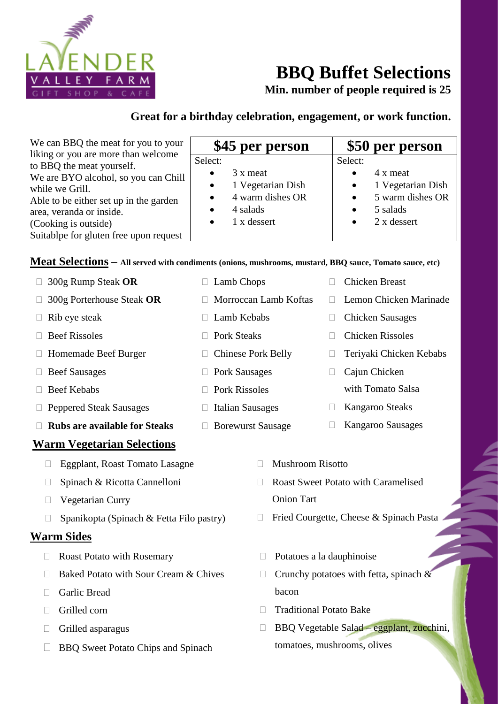

# **BBQ Buffet Selections**

**Min. number of people required is 25**

## **Great for a birthday celebration, engagement, or work function.**

| We can BBQ the meat for you to your<br>liking or you are more than welcome                                                                                                                                                   | \$45 per person                                                                                                                | \$50 per person                                                                                                                                          |
|------------------------------------------------------------------------------------------------------------------------------------------------------------------------------------------------------------------------------|--------------------------------------------------------------------------------------------------------------------------------|----------------------------------------------------------------------------------------------------------------------------------------------------------|
| to BBQ the meat yourself.<br>We are BYO alcohol, so you can Chill<br>while we Grill.<br>Able to be either set up in the garden<br>area, veranda or inside.<br>(Cooking is outside)<br>Suitablpe for gluten free upon request | Select:<br>3 x meat<br>$\bullet$<br>1 Vegetarian Dish<br>$\bullet$<br>4 warm dishes OR<br>4 salads<br>1 x dessert<br>$\bullet$ | Select:<br>4 x meat<br>$\bullet$<br>1 Vegetarian Dish<br>$\bullet$<br>5 warm dishes OR<br>$\bullet$<br>5 salads<br>$\bullet$<br>2 x dessert<br>$\bullet$ |

#### **Meat Selections – All served with condiments (onions, mushrooms, mustard, BBQ sauce, Tomato sauce, etc)**

□ Lamb Chops

 $\Box$  Lamb Kebabs

□ Pork Sausages

 $\Box$  Pork Rissoles

 $\Box$  Italian Sausages

Borewurst Sausage

□ Chinese Pork Belly

□ Pork Steaks

Morroccan Lamb Koftas

|  |  | $\Box$ 300g Rump Steak OR |  |  |
|--|--|---------------------------|--|--|
|--|--|---------------------------|--|--|

- 300g Porterhouse Steak **OR**
- $\Box$  Rib eye steak
- $\Box$  Beef Rissoles
- □ Homemade Beef Burger
- Beef Sausages
- □ Beef Kebabs
- □ Peppered Steak Sausages
- **Rubs are available for Steaks**

## **Warm Vegetarian Selections**

- Eggplant, Roast Tomato Lasagne
- □ Spinach & Ricotta Cannelloni
- Vegetarian Curry
- $\Box$  Spanikopta (Spinach & Fetta Filo pastry)

#### **Warm Sides**

- □ Roast Potato with Rosemary
- $\Box$  Baked Potato with Sour Cream & Chives
- Garlic Bread
- $\Box$  Grilled corn
- $\Box$  Grilled asparagus
- □ BBQ Sweet Potato Chips and Spinach
- - Chicken Breast
	- □ Lemon Chicken Marinade
	- Chicken Sausages
	- □ Chicken Rissoles
	- Teriyaki Chicken Kebabs
	- □ Cajun Chicken with Tomato Salsa
	- Kangaroo Steaks
	- Kangaroo Sausages
- $\neg$  Mushroom Risotto
- Roast Sweet Potato with Caramelised Onion Tart
- □ Fried Courgette, Cheese & Spinach Pasta
- $\Box$  Potatoes a la dauphinoise
- $\Box$  Crunchy potatoes with fetta, spinach & bacon
- $\Box$  Traditional Potato Bake
- $\Box$  BBQ Vegetable Salad eggplant, zucchini, tomatoes, mushrooms, olives